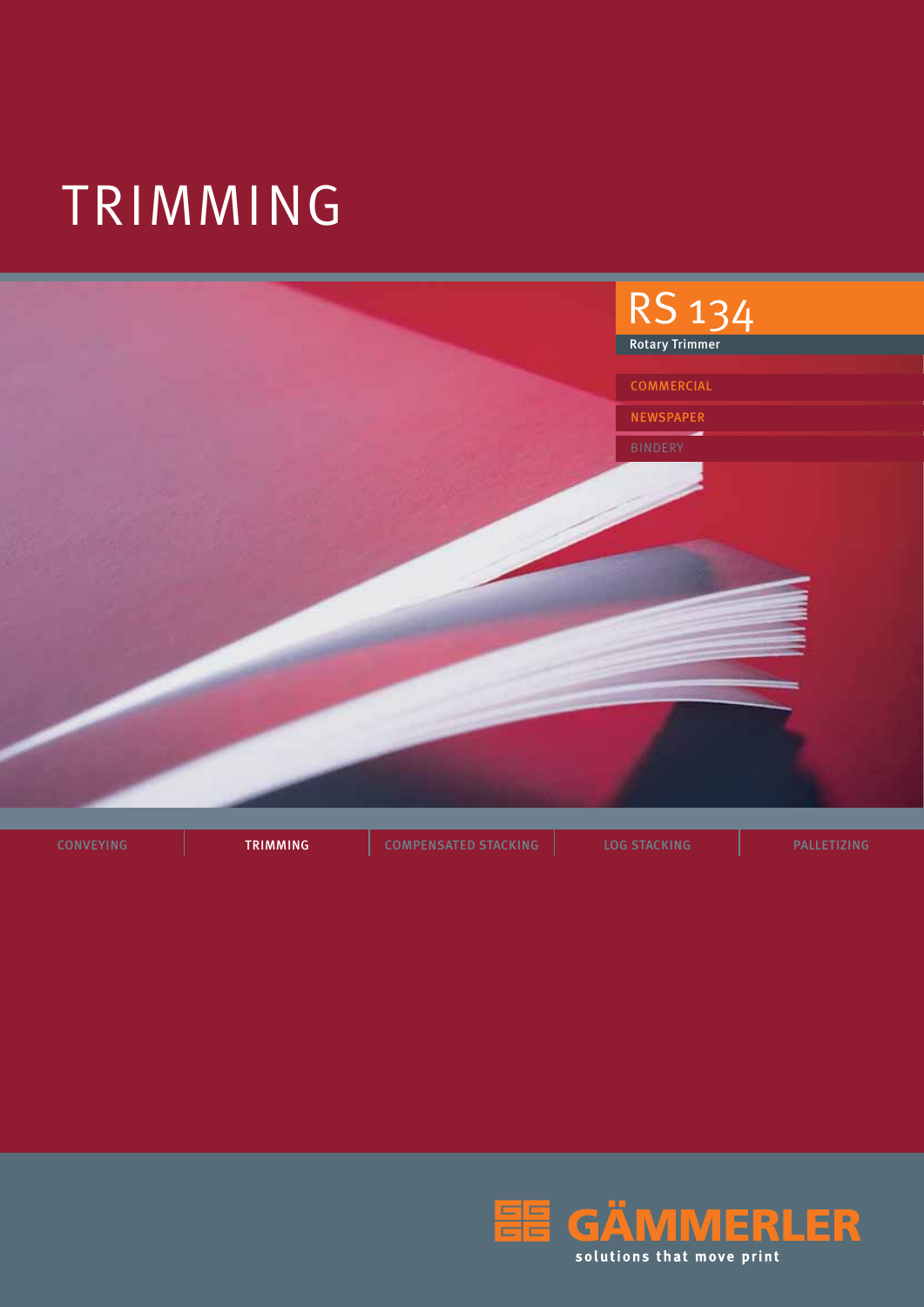# TRIMMING



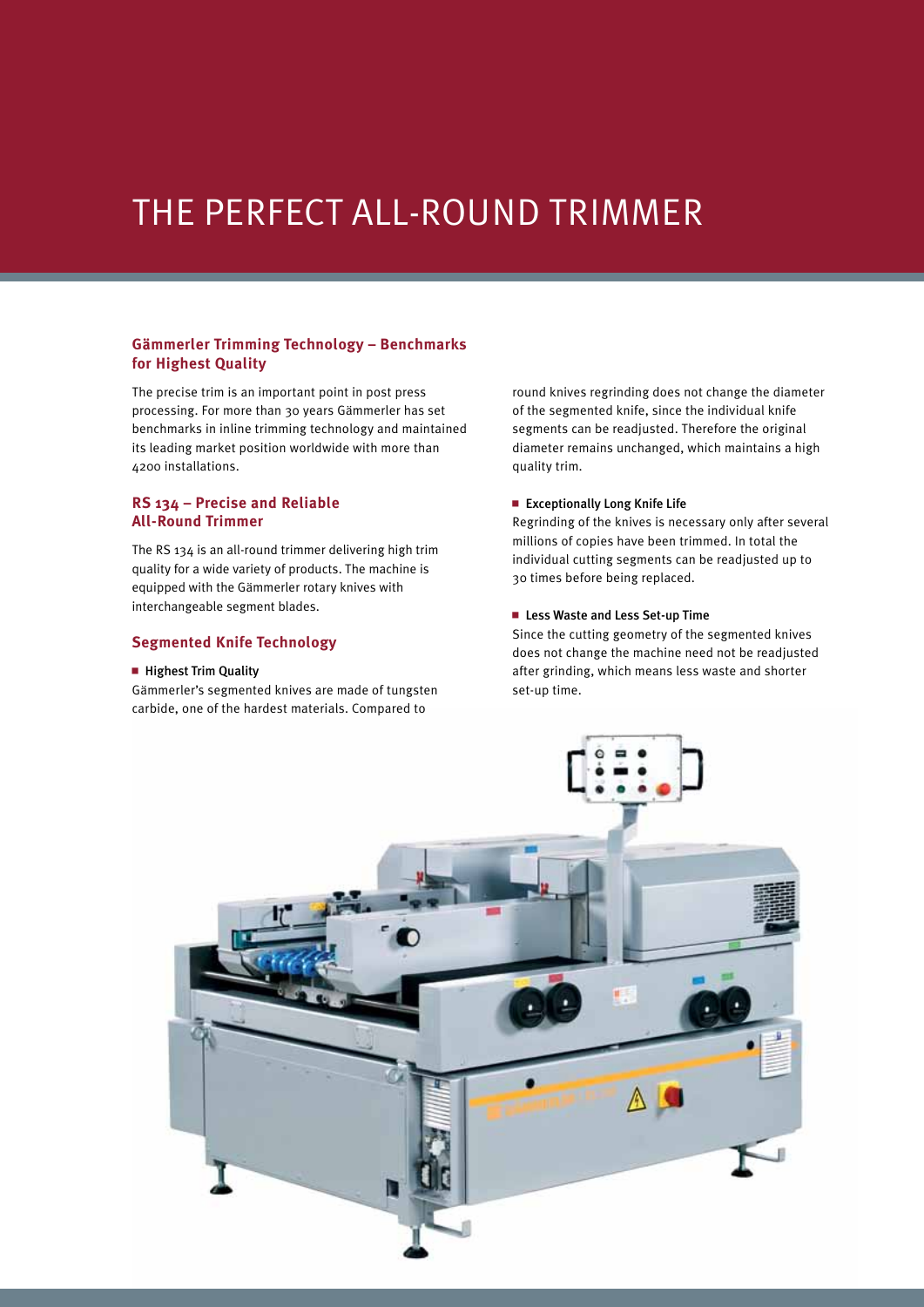### The Perfect All-Round Trimmer

#### **Gämmerler Trimming Technology – Benchmarks for Highest Quality**

The precise trim is an important point in post press processing. For more than 30 years Gämmerler has set benchmarks in inline trimming technology and maintained its leading market position worldwide with more than 4200 installations.

#### **RS 134 – Precise and Reliable All-Round Trimmer**

The RS 134 is an all-round trimmer delivering high trim quality for a wide variety of products. The machine is equipped with the Gämmerler rotary knives with interchangeable segment blades.

#### **Segmented Knife Technology**

#### **Highest Trim Quality**

Gämmerler's segmented knives are made of tungsten carbide, one of the hardest materials. Compared to

round knives regrinding does not change the diameter of the segmented knife, since the individual knife segments can be readjusted. Therefore the original diameter remains unchanged, which maintains a high quality trim.

#### $\blacksquare$  Exceptionally Long Knife Life

Regrinding of the knives is necessary only after several millions of copies have been trimmed. In total the individual cutting segments can be readjusted up to 30 times before being replaced.

#### ■ Less Waste and Less Set-up Time

Since the cutting geometry of the segmented knives does not change the machine need not be readjusted after grinding, which means less waste and shorter set-up time.

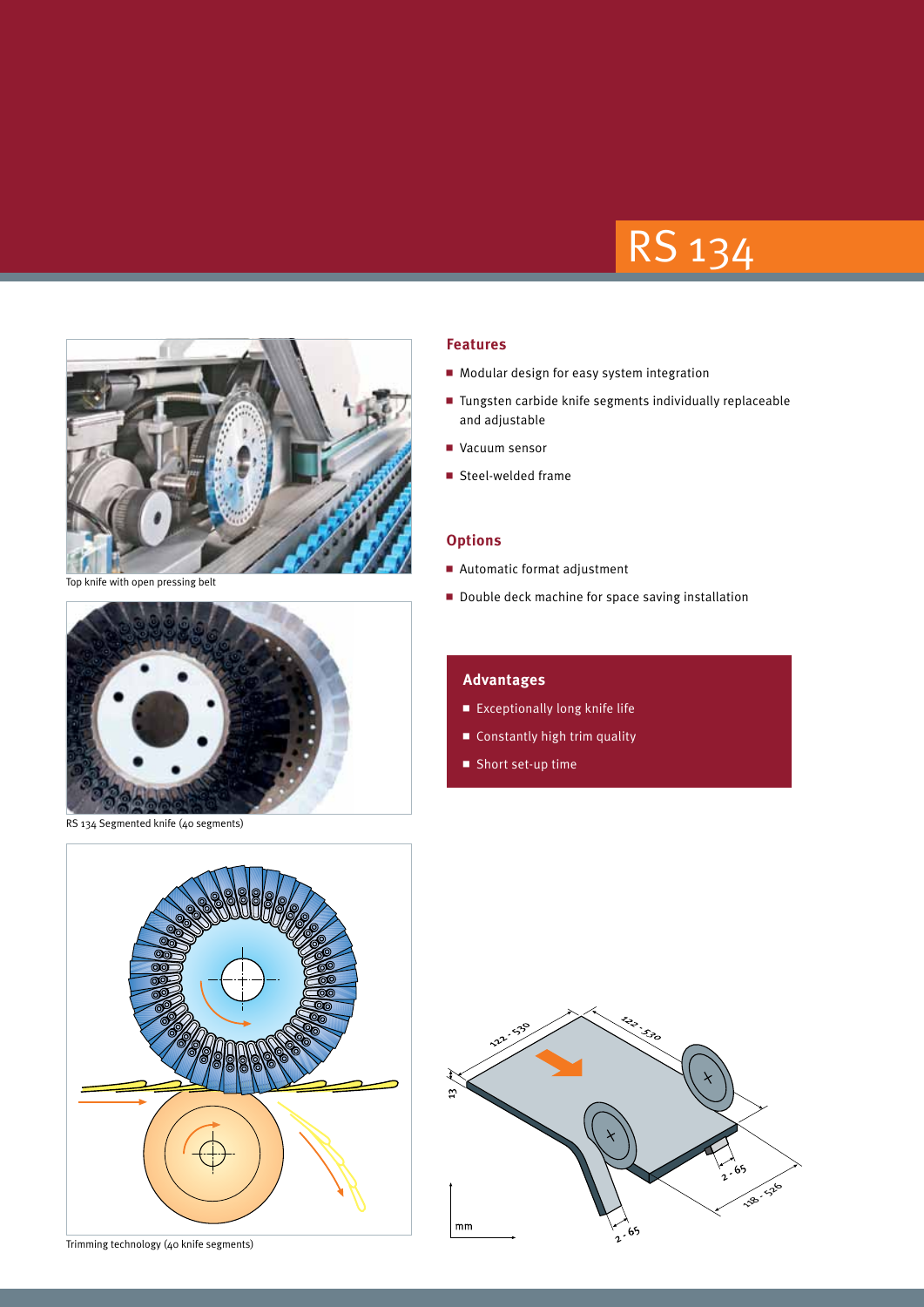## RS 134



Top knife with open pressing belt



RS 134 Segmented knife (40 segments)

#### **Features**

- $\blacksquare$  Modular design for easy system integration
- $\blacksquare$  Tungsten carbide knife segments individually replaceable and adjustable
- Vacuum sensor
- $\blacksquare$  Steel-welded frame

#### **Options**

- $\blacksquare$  Automatic format adjustment
- Double deck machine for space saving installation

#### **Advantages**

- $\blacksquare$  Exceptionally long knife life
- $\blacksquare$  Constantly high trim quality
- $\blacksquare$  Short set-up time



Trimming technology (40 knife segments)